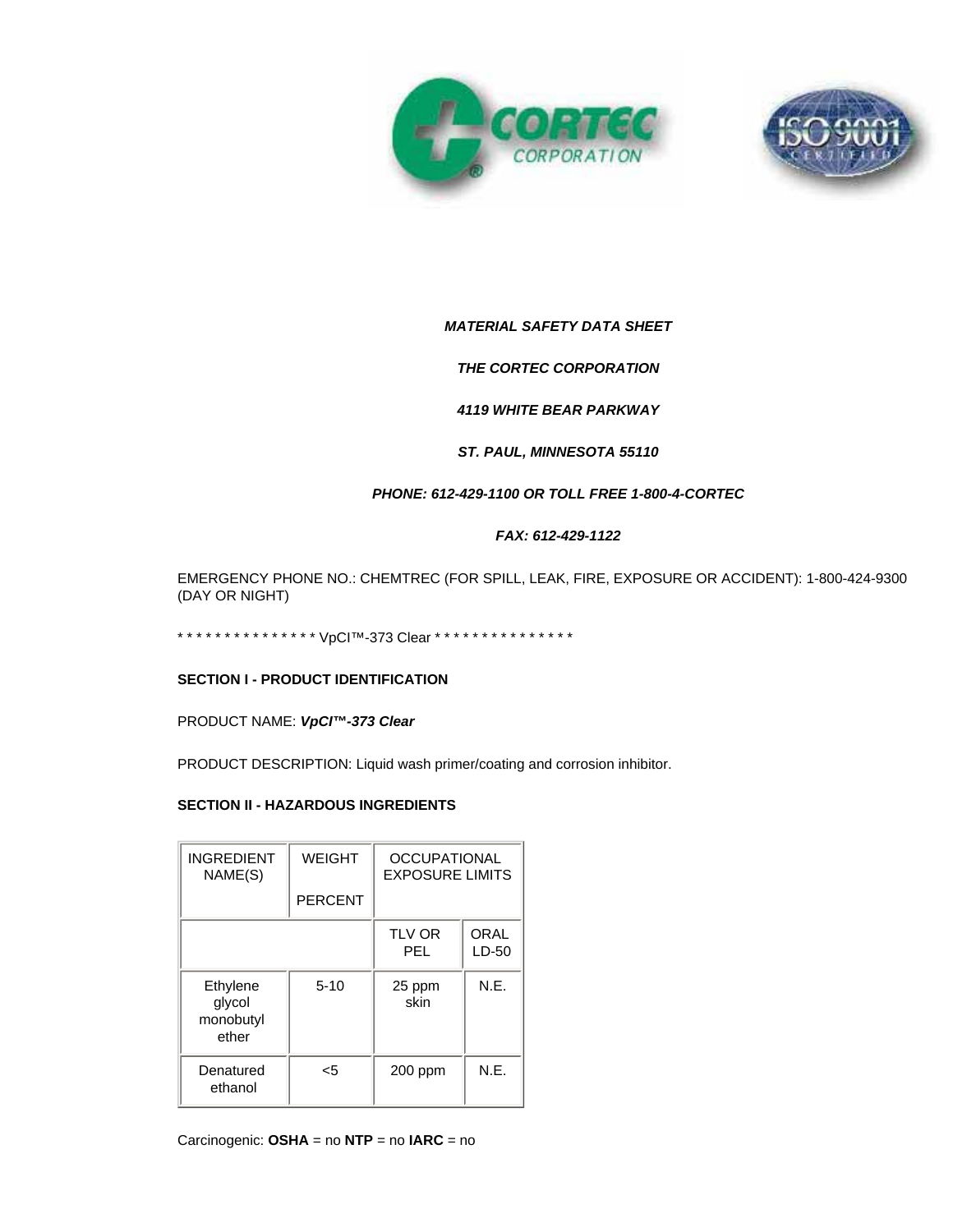



# *MATERIAL SAFETY DATA SHEET*

# *THE CORTEC CORPORATION*

*4119 WHITE BEAR PARKWAY*

## *ST. PAUL, MINNESOTA 55110*

## *PHONE: 612-429-1100 OR TOLL FREE 1-800-4-CORTEC*

## *FAX: 612-429-1122*

EMERGENCY PHONE NO.: CHEMTREC (FOR SPILL, LEAK, FIRE, EXPOSURE OR ACCIDENT): 1-800-424-9300 (DAY OR NIGHT)

\*\*\*\*\*\*\*\*\*\*\*\*\*\*\* VpCITM-373 Clear \*\*\*\*\*\*\*\*\*\*\*\*\*\*\*\*

## **SECTION I - PRODUCT IDENTIFICATION**

PRODUCT NAME: *VpCI™-373 Clear*

PRODUCT DESCRIPTION: Liquid wash primer/coating and corrosion inhibitor.

## **SECTION II - HAZARDOUS INGREDIENTS**

| <b>INGREDIENT</b><br>NAME(S)             | <b>WEIGHT</b>  | <b>OCCUPATIONAL</b><br><b>EXPOSURE LIMITS</b> |                 |
|------------------------------------------|----------------|-----------------------------------------------|-----------------|
|                                          | <b>PERCENT</b> |                                               |                 |
|                                          |                | <b>TLV OR</b><br>PFL                          | ORAL<br>$LD-50$ |
| Ethylene<br>glycol<br>monobutyl<br>ether | $5 - 10$       | 25 ppm<br>skin                                | N.E.            |
| Denatured<br>ethanol                     | <5             | $200$ ppm                                     | N.E.            |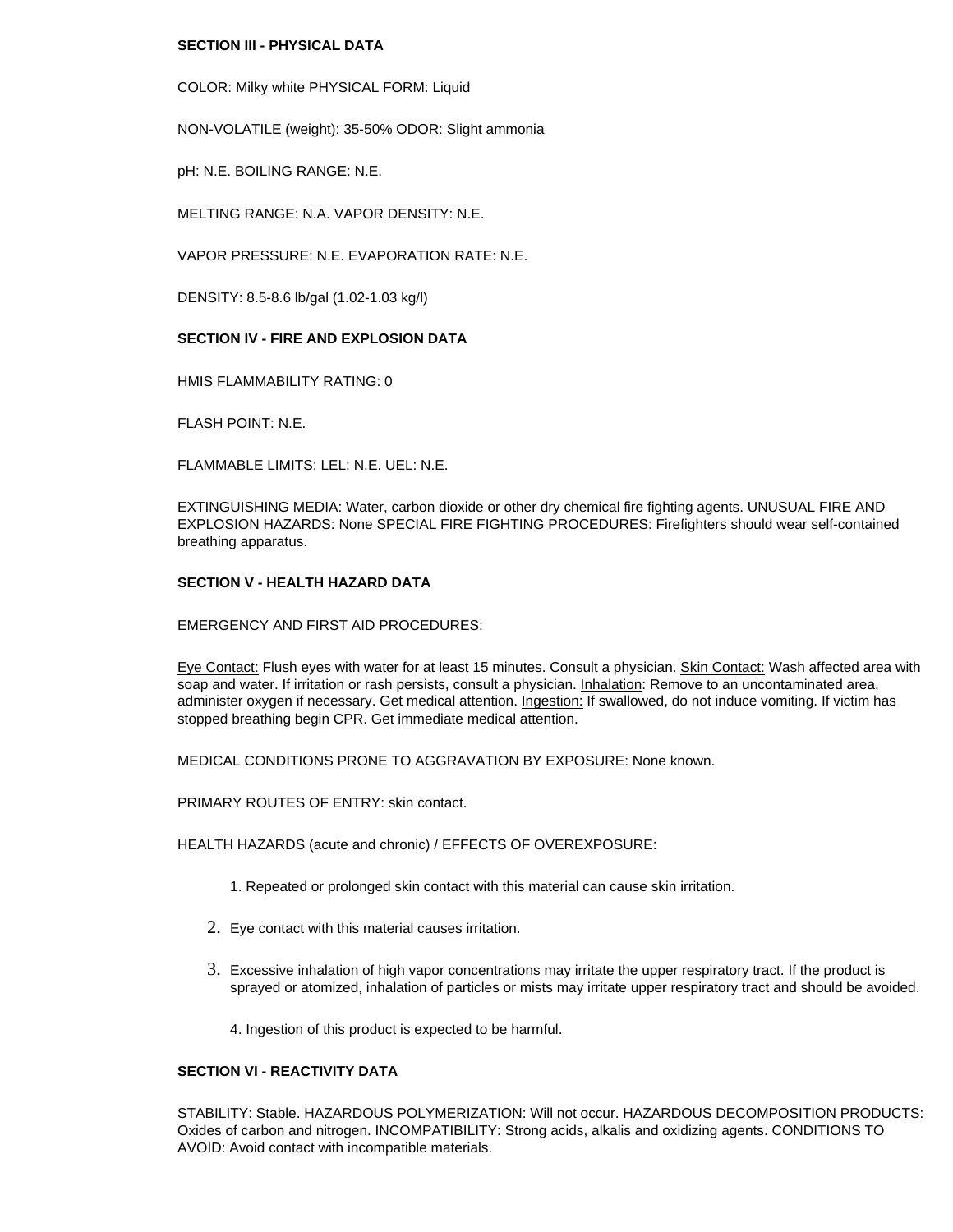### **SECTION III - PHYSICAL DATA**

COLOR: Milky white PHYSICAL FORM: Liquid

NON-VOLATILE (weight): 35-50% ODOR: Slight ammonia

pH: N.E. BOILING RANGE: N.E.

MELTING RANGE: N.A. VAPOR DENSITY: N.E.

VAPOR PRESSURE: N.E. EVAPORATION RATE: N.E.

DENSITY: 8.5-8.6 lb/gal (1.02-1.03 kg/l)

### **SECTION IV - FIRE AND EXPLOSION DATA**

HMIS FLAMMABILITY RATING: 0

FLASH POINT: N.E.

FLAMMABLE LIMITS: LEL: N.E. UEL: N.E.

EXTINGUISHING MEDIA: Water, carbon dioxide or other dry chemical fire fighting agents. UNUSUAL FIRE AND EXPLOSION HAZARDS: None SPECIAL FIRE FIGHTING PROCEDURES: Firefighters should wear self-contained breathing apparatus.

### **SECTION V - HEALTH HAZARD DATA**

EMERGENCY AND FIRST AID PROCEDURES:

Eye Contact: Flush eyes with water for at least 15 minutes. Consult a physician. Skin Contact: Wash affected area with soap and water. If irritation or rash persists, consult a physician. Inhalation: Remove to an uncontaminated area, administer oxygen if necessary. Get medical attention. Ingestion: If swallowed, do not induce vomiting. If victim has stopped breathing begin CPR. Get immediate medical attention.

MEDICAL CONDITIONS PRONE TO AGGRAVATION BY EXPOSURE: None known.

PRIMARY ROUTES OF ENTRY: skin contact.

HEALTH HAZARDS (acute and chronic) / EFFECTS OF OVEREXPOSURE:

- 1. Repeated or prolonged skin contact with this material can cause skin irritation.
- 2. Eye contact with this material causes irritation.
- 3. Excessive inhalation of high vapor concentrations may irritate the upper respiratory tract. If the product is sprayed or atomized, inhalation of particles or mists may irritate upper respiratory tract and should be avoided.
	- 4. Ingestion of this product is expected to be harmful.

# **SECTION VI - REACTIVITY DATA**

STABILITY: Stable. HAZARDOUS POLYMERIZATION: Will not occur. HAZARDOUS DECOMPOSITION PRODUCTS: Oxides of carbon and nitrogen. INCOMPATIBILITY: Strong acids, alkalis and oxidizing agents. CONDITIONS TO AVOID: Avoid contact with incompatible materials.